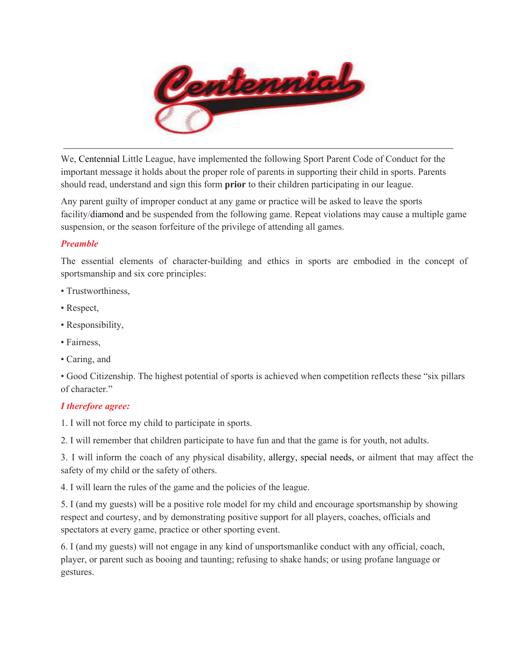

We, Centennial Little League, have implemented the following Sport Parent Code of Conduct for the important message it holds about the proper role of parents in supporting their child in sports. Parents should read, understand and sign this form **prior** to their children participating in our league.

Any parent guilty of improper conduct at any game or practice will be asked to leave the sports facility/diamond and be suspended from the following game. Repeat violations may cause a multiple game suspension, or the season forfeiture of the privilege of attending all games.

## *Preamble*

The essential elements of character-building and ethics in sports are embodied in the concept of sportsmanship and six core principles:

- Trustworthiness,
- Respect,
- Responsibility,
- Fairness,
- Caring, and

• Good Citizenship. The highest potential of sports is achieved when competition reflects these "six pillars of character."

## *I therefore agree:*

1. I will not force my child to participate in sports.

2. I will remember that children participate to have fun and that the game is for youth, not adults.

3. I will inform the coach of any physical disability, allergy, special needs, or ailment that may affect the safety of my child or the safety of others.

4. I will learn the rules of the game and the policies of the league.

5. I (and my guests) will be a positive role model for my child and encourage sportsmanship by showing respect and courtesy, and by demonstrating positive support for all players, coaches, officials and spectators at every game, practice or other sporting event.

6. I (and my guests) will not engage in any kind of unsportsmanlike conduct with any official, coach, player, or parent such as booing and taunting; refusing to shake hands; or using profane language or gestures.